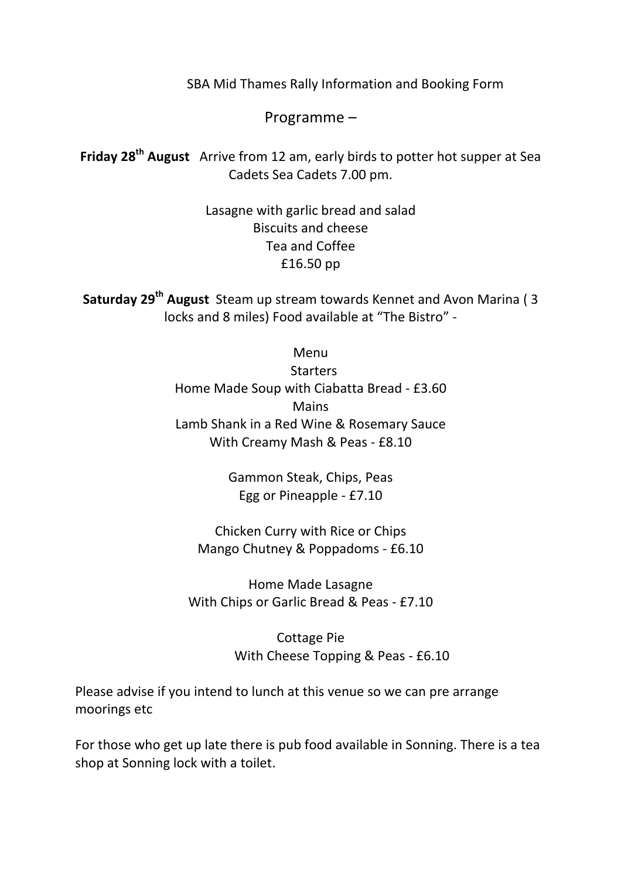SBA Mid Thames Rally Information and Booking Form

Programme  $-$ 

**Friday 28<sup>th</sup> August** Arrive from 12 am, early birds to potter hot supper at Sea Cadets Sea Cadets 7.00 pm.

> Lasagne with garlic bread and salad Biscuits and cheese Tea and Coffee £16.50 pp

**Saturday 29<sup>th</sup> August** Steam up stream towards Kennet and Avon Marina (3) locks and 8 miles) Food available at "The Bistro" -

> Menu **Starters** Home Made Soup with Ciabatta Bread - £3.60 Mains Lamb Shank in a Red Wine & Rosemary Sauce With Creamy Mash & Peas - £8.10

> > Gammon Steak, Chips, Peas Egg or Pineapple  $-$  £7.10

Chicken Curry with Rice or Chips Mango Chutney & Poppadoms - £6.10

Home Made Lasagne With Chips or Garlic Bread & Peas - £7.10

> Cottage Pie With Cheese Topping & Peas - £6.10

Please advise if you intend to lunch at this venue so we can pre arrange moorings etc

For those who get up late there is pub food available in Sonning. There is a tea shop at Sonning lock with a toilet.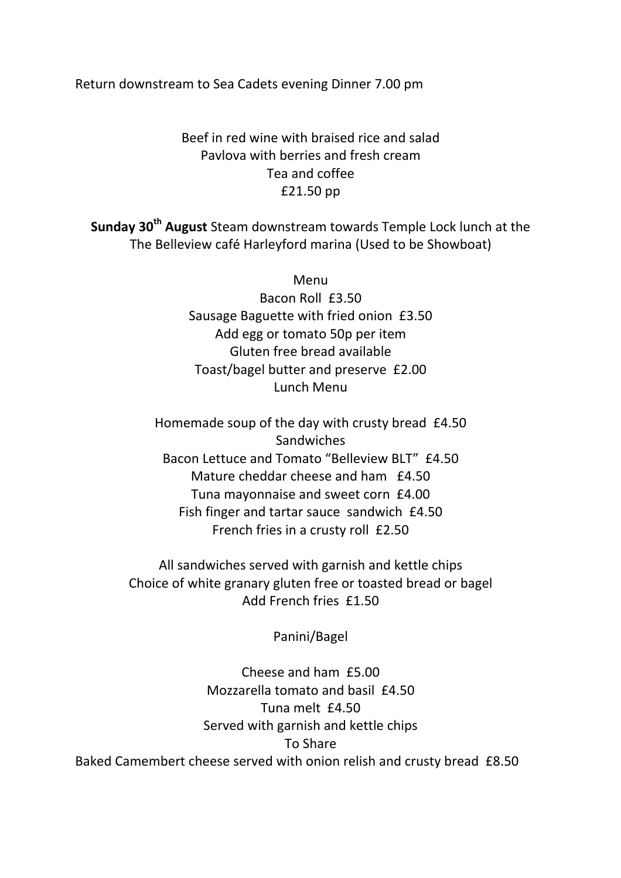Return downstream to Sea Cadets evening Dinner 7.00 pm

## Beef in red wine with braised rice and salad Pavlova with berries and fresh cream Tea and coffee £21.50 pp

**Sunday 30<sup>th</sup> August** Steam downstream towards Temple Lock lunch at the The Belleview café Harleyford marina (Used to be Showboat)

> Menu Bacon Roll £3.50 Sausage Baguette with fried onion £3.50 Add egg or tomato 50p per item Gluten free bread available Toast/bagel butter and preserve £2.00 Lunch Menu

Homemade soup of the day with crusty bread  $£4.50$ **Sandwiches** Bacon Lettuce and Tomato "Belleview BLT" £4.50 Mature cheddar cheese and ham  $£4.50$ Tuna mayonnaise and sweet corn £4.00 Fish finger and tartar sauce sandwich £4.50 French fries in a crusty roll £2.50

All sandwiches served with garnish and kettle chips Choice of white granary gluten free or toasted bread or bagel Add French fries £1.50

Panini/Bagel

Cheese and ham £5.00 Mozzarella tomato and basil £4.50 Tuna melt £4.50 Served with garnish and kettle chips To Share Baked Camembert cheese served with onion relish and crusty bread £8.50